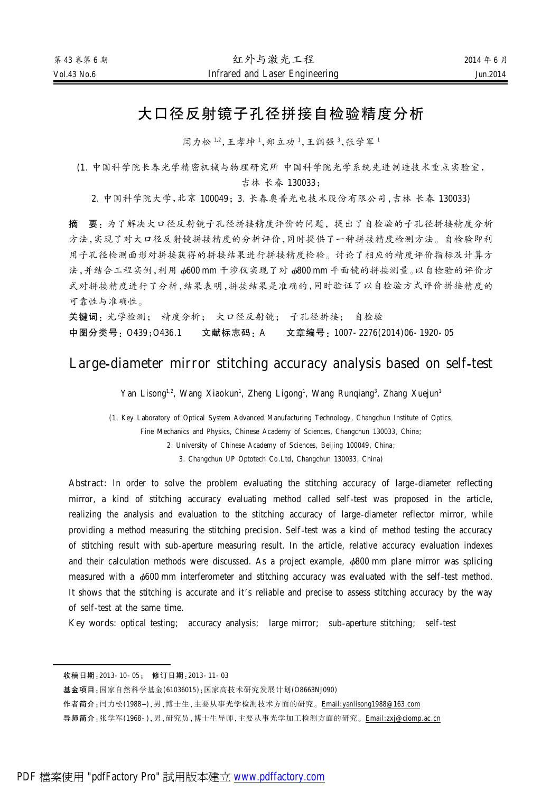# 大口径反射镜子孔径拼接自检验精度分析

闫力松 1,2,王孝坤 1,郑立功 1,王润强 3,张学军 1

(1. 中国科学院长春光学精密机械与物理研究所 中国科学院光学系统先进制造技术重点实验室,

吉林 长春 130033;

2. 中国科学院大学,北京 100049;3. 长春奥普光电技术股份有限公司,吉林 长春 130033)

摘 要: 为了解决大口径反射镜子孔径拼接精度评价的问题,提出了自检验的子孔径拼接精度分析 方法,实现了对大口径反射镜拼接精度的分析评价,同时提供了一种拼接精度检测方法。自检验即利 用子孔径检测面形对拼接获得的拼接结果进行拼接精度检验。讨论了相应的精度评价指标及计算方 法,并结合工程实例,利用 φ600 mm 干涉仪实现了对 φ800 mm 平面镜的拼接测量。以自检验的评价方 式对拼接精度进行了分析,结果表明,拼接结果是准确的,同时验证了以自检验方式评价拼接精度的 可靠性与准确性。

关键词: 光学检测; 精度分析; 大口径反射镜; 子孔径拼接; 自检验 中图分类号: 0439:0436.1 文献标志码: A 文章编号: 1007-2276(2014)06-1920-05

## Large-diameter mirror stitching accuracy analysis based on self-test

Yan Lisong<sup>1,2</sup>, Wang Xiaokun<sup>1</sup>, Zheng Ligong<sup>1</sup>, Wang Runqiang<sup>3</sup>, Zhang Xuejun<sup>1</sup>

(1. Key Laboratory of Optical System Advanced Manufacturing Technology, Changchun Institute of Optics,

Fine Mechanics and Physics, Chinese Academy of Sciences, Changchun 130033, China;

2. University of Chinese Academy of Sciences, Beijing 100049, China;

3. Changchun UP Optotech Co.Ltd, Changchun 130033, China)

Abstract: In order to solve the problem evaluating the stitching accuracy of large-diameter reflecting mirror, a kind of stitching accuracy evaluating method called self-test was proposed in the article, realizing the analysis and evaluation to the stitching accuracy of large-diameter reflector mirror, while providing a method measuring the stitching precision. Self-test was a kind of method testing the accuracy of stitching result with sub-aperture measuring result. In the article, relative accuracy evaluation indexes and their calculation methods were discussed. As a project example,  $\phi$ 800 mm plane mirror was splicing measured with a  $\phi$ 600 mm interferometer and stitching accuracy was evaluated with the self-test method. It shows that the stitching is accurate and it's reliable and precise to assess stitching accuracy by the way of self-test at the same time.

Key words: optical testing; accuracy analysis; large mirror; sub-aperture stitching; self-test

收稿日期: 2013-10-05: 修订日期: 2013-11-03

基金项目:国家自然科学基金(61036015);国家高技术研究发展计划(O8663NJ090)

作者简介:闫力松(1988-),男,博士生,主要从事光学检测技术方面的研究。[Email:yanlisong1988@163.com](mailto:Email:yanlisong1988@163.com)

导师简介:张学军(1968-),男,研究员,博士生导师,主要从事光学加工检测方面的研究。[Email:zxj@ciomp.ac.cn](mailto:Email:zxj@ciomp.ac.cn)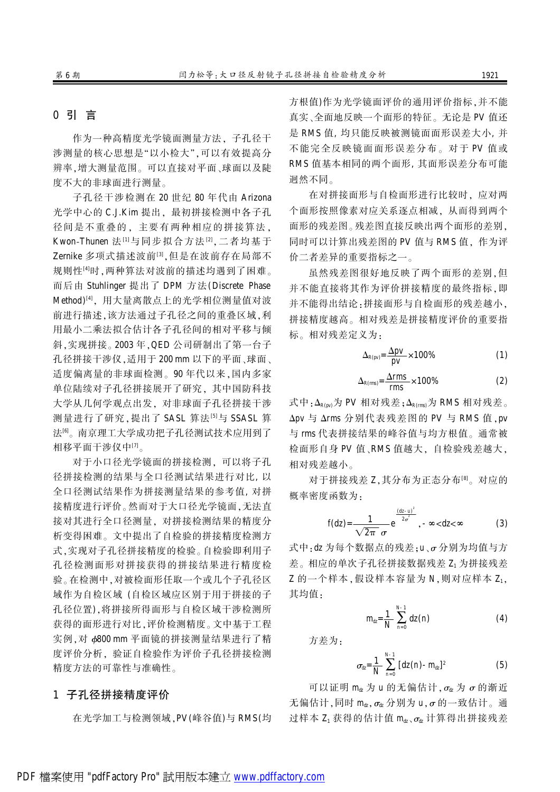## 0 引 言

作为一种高精度光学镜面测量方法, 子孔径干 涉测量的核心思想是"以小检大",可以有效提高分 辨率,增大测量范围。可以直接对平面、球面以及陡 度不大的非球面进行测量。

子孔径干涉检测在 20 世纪 80 年代由 Arizona 光学中心的 C.J.Kim 提出, 最初拼接检测中各子孔 径间是不重叠的, 主要有两种相应的拼接算法, Kwon-Thunen 法[1]与同步拟合方法[2],二者均基于 Zernike 多项式描述波前<sup>[3]</sup>,但是在波前存在局部不 规则性[4]时,两种算法对波前的描述均遇到了困难。 而后由 Stuhlinger 提出了 DPM 方法(Discrete Phase Method)<sup>[4]</sup>, 用大量离散点上的光学相位测量值对波 前进行描述,该方法通过子孔径之间的重叠区域,利 用最小二乘法拟合估计各子孔径间的相对平移与倾 斜, 实现拼接。2003 年, QED 公司研制出了第一台子 孔径拼接干涉仪,适用于 200 mm 以下的平面、球面、 适度偏离量的非球面检测。90年代以来,国内多家 单位陆续对子孔径拼接展开了研究,其中国防科技 大学从几何学观点出发,对非球面子孔径拼接干涉 测量进行了研究,提出了 SASL 算法[5]与 SSASL 算 法[6]。南京理工大学成功把子孔径测试技术应用到了 相移平面干涉仪中[7]。

对于小口径光学镜面的拼接检测。可以将子孔 径拼接检测的结果与全口径测试结果进行对比, 以 全口径测试结果作为拼接测量结果的参考值, 对拼 接精度进行评价。然而对于大口径光学镜面,无法直 接对其进行全口径测量,对拼接检测结果的精度分 析变得困难。文中提出了自检验的拼接精度检测方 式,实现对子孔径拼接精度的检验。自检验即利用子 孔径检测面形对拼接获得的拼接结果进行精度检 验。在检测中,对被检面形任取一个或几个子孔径区 域作为自检区域 (自检区域应区别于用于拼接的子 孔径位置),将拼接所得面形与自检区域干涉检测所 获得的面形进行对比,评价检测精度。文中基于工程 实例, 对 φ800 mm 平面镜的拼接测量结果进行了精 度评价分析,验证自检验作为评价子孔径拼接检测 精度方法的可靠性与准确性。

## 1 子孔径拼接精度评价

在光学加工与检测领域, PV(峰谷值)与 RMS(均

方根值)作为光学镜面评价的通用评价指标,并不能 真实、全面地反映一个面形的特征。无论是 PV 值还 是 RMS 值, 均只能反映被测镜面面形误差大小, 并 不能完全反映镜面面形误差分布。对于 PV 值或 RMS 值基本相同的两个面形, 其面形误差分布可能 迥然不同。

在对拼接面形与自检面形进行比较时。应对两 个面形按照像素对应关系逐点相减, 从而得到两个 面形的残差图。残差图直接反映出两个面形的差别, 同时可以计算出残差图的 PV 值与 RMS 值, 作为评 价二者差异的重要指标之一。

虽然残差图很好地反映了两个面形的差别,但 并不能直接将其作为评价拼接精度的最终指标,即 并不能得出结论:拼接面形与自检面形的残差越小, 拼接精度越高。相对残差是拼接精度评价的重要指 标。相对残差定义为:

$$
\Delta_{R(pv)} = \frac{\Delta pv}{pv} \times 100\% \tag{1}
$$

$$
\Delta_{R(rms)} = \frac{\Delta rms}{rms} \times 100\% \tag{2}
$$

式中: $\Delta_{R(p\nu)}$ 为 PV 相对残差; $\Delta_{R(rms)}$ 为 RMS 相对残差。 Δpv 与 Δrms 分别代表残差图的 PV 与 RMS 值, pv 与 rms 代表拼接结果的峰谷值与均方根值。通常被 检面形自身 PV 值、RMS 值越大, 自检验残差越大, 相对残差越小。

对于拼接残差 Z.其分布为正态分布<sup>[8]</sup>。对应的 概率密度函数为:

$$
f(dz) = \frac{1}{\sqrt{2\pi} \sigma} e^{\frac{(dz-u)^2}{2\sigma^2}}, -\infty < dz < \infty
$$
 (3)

式中: dz 为每个数据点的残差: u、o 分别为均值与方 差。相应的单次子孔径拼接数据残差 Z1 为拼接残差 Z 的一个样本,假设样本容量为 N,则对应样本 Z1, 其均值.

$$
m_{\alpha} = \frac{1}{N} \sum_{n=0}^{N-1} dz(n)
$$
 (4)

方差为:

$$
\sigma_{\dot{\alpha}} = \frac{1}{N} \sum_{n=0}^{N-1} [dz(n) - m_{\dot{\alpha}}]^2
$$
 (5)

可以证明 ma 为 u 的无偏估计, $\sigma_{\alpha}$  为  $\sigma$  的渐近 无偏估计,同时 ma,  $\sigma_{\alpha}$  分别为 u,  $\sigma$  的一致估计。通 过样本 Z1 获得的估计值 mtx, ot 计算得出拼接残差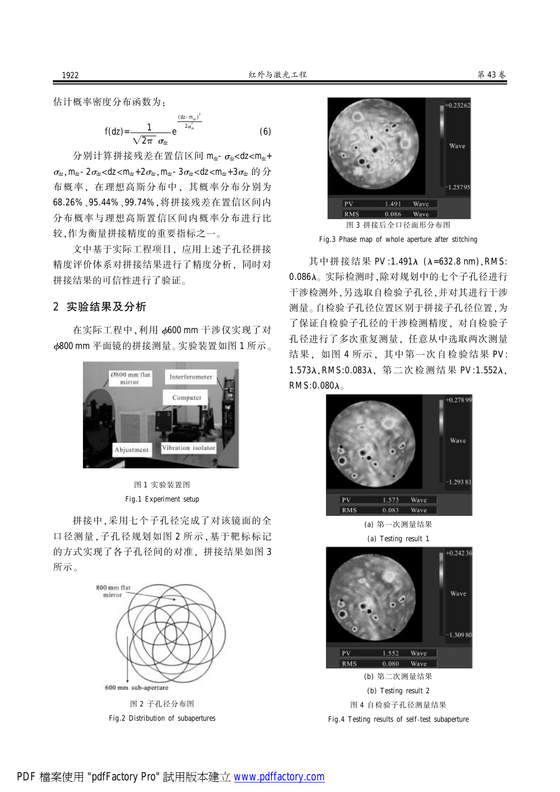估计概率密度分布函数为:

$$
f(dz) = \frac{1}{\sqrt{2\pi} \sigma_{\text{d}z}} e^{\frac{(dz - m_{\text{d}z})^2}{2\sigma_{\text{d}z}^2}}
$$
(6)

分别计算拼接残差在置信区间  $m_{\alpha}$ - $\sigma_{\alpha}$ <dz< $m_{\alpha}$ +  $\sigma_{\alpha}$ ,  $m_{\alpha}$  – 2 $\sigma_{\alpha}$  < dz <  $m_{\alpha}$  + 2 $\sigma_{\alpha}$ ,  $m_{\alpha}$  – 3 $\sigma_{\alpha}$  < dz <  $m_{\alpha}$  + 3 $\sigma_{\alpha}$   $\uplus$   $\leftrightarrow$ 布概率, 在理想高斯分布中, 其概率分布分别为 68.26%、95.44%、99.74%,将拼接残差在置信区间内 分布概率与理想高斯置信区间内概率分布进行比 较,作为衡量拼接精度的重要指标之一。

文中基于实际工程项目, 应用上述子孔径拼接 精度评价体系对拼接结果进行了精度分析,同时对 拼接结果的可信性进行了验证。

#### 2 实验结果及分析

在实际工程中, 利用 6600 mm 干涉仪实现了对 6800 mm 平面镜的拼接测量。实验装置如图 1 所示。



图 1 实验装置图 Fig.1 Experiment setup

拼接中,采用七个子孔径完成了对该镜面的全 口径测量,子孔径规划如图 2 所示,基于靶标标记 的方式实现了各子孔径间的对准。拼接结果如图 3 所示。



Fig.2 Distribution of subapertures



图 3 拼接后全口径面形分布图 Fig.3 Phase map of whole aperture after stitching

其中拼接结果 PV:1.491λ (λ=632.8 nm), RMS: 0.086λ。实际检测时,除对规划中的七个子孔径进行 干涉检测外,另选取自检验子孔径,并对其进行干涉 测量。自检验子孔径位置还经位置于为 了保证自检验子孔径的干涉检测精度,对自检验子 孔径进行了多次重复测量, 任意从中选取两次测量 结果, 如图 4 所示, 其中第一次自检验结果 PV: 1.573λ, RMS:0.083λ, 第二次检测结果 PV:1.552λ,  $RMS:0.080\lambda$ 



(a) 第一次测量结果 (a) Testing result 1

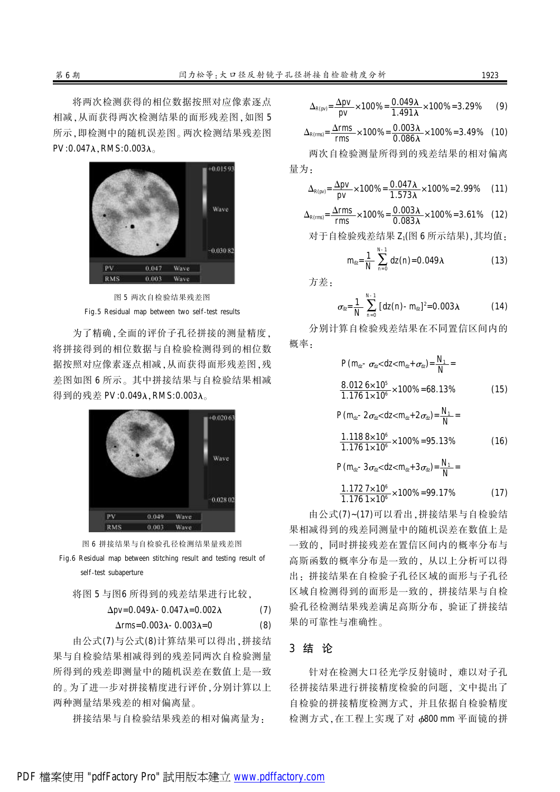将两次检测获得的相位数据按照对应像素逐点 相减,从而获得两次检测结果的面形残差图,如图 5 所示,即检测中的随机误差图。两次检测结果残差图  $PV: 0.047\lambda$ , RMS: $0.003\lambda$ 



图 5 两次自检验结果残差图 Fig.5 Residual map between two self-test results

为了精确,全面的评价子孔径拼接的测量精度, 将拼接得到的相位数据与自检验检测得到的相位数 据按照对应像素逐点相减,从而获得面形残差图,残 差图如图 6 所示。其中拼接结果与自检验结果相减 得到的残差 PV:0.049λ, RMS:0.003λ。





将图 5 与图6 所得到的残差结果进行比较。

$$
\Delta pv = 0.049\lambda - 0.047\lambda = 0.002\lambda \tag{7}
$$

$$
\Delta rms = 0.003\lambda - 0.003\lambda = 0 \tag{8}
$$

由公式(7)与公式(8)计算结果可以得出,拼接结 果与自检验结果相减得到的残差同两次自检验测量 所得到的残差即测量中的随机误差在数值上是一致 的。为了进一步对拼接精度进行评价,分别计算以上 两种测量结果残差的相对偏离量。

拼接结果与自检验结果残差的相对偏离量为:

$$
\Delta_{R(pv)} = \frac{\Delta pv}{pv} \times 100\% = \frac{0.049\lambda}{1.491\lambda} \times 100\% = 3.29\% \tag{9}
$$

$$
\Delta_{R(rms)} = \frac{\Delta rms}{rms} \times 100\% = \frac{0.003\lambda}{0.086\lambda} \times 100\% = 3.49\% \quad (10)
$$

两次自检验测量所得到的残差结果的相对偏离 量为:

$$
\Delta_{R(pv)} = \frac{\Delta pv}{pv} \times 100\% = \frac{0.047\lambda}{1.573\lambda} \times 100\% = 2.99\% \quad (11)
$$

$$
\Delta_{R(rms)} = \frac{\Delta rms}{rms} \times 100\% = \frac{0.003\lambda}{0.083\lambda} \times 100\% = 3.61\% \quad (12)
$$

对于自检验残差结果 Z1(图 6 所示结果)袁其均值院

$$
m_{\alpha} = \frac{1}{N} \sum_{n=0}^{N-1} dz(n) = 0.049\lambda
$$
 (13)

方差:

$$
\sigma_{\alpha} = \frac{1}{N} \sum_{n=0}^{N-1} [dz(n) - m_{\alpha}]^2 = 0.003 \lambda \qquad (14)
$$

分别计算自检验残差结果在不同置信区间内的 概率.

$$
P(m_{\alpha} - \sigma_{\alpha} < dz < m_{\alpha} + \sigma_{\alpha}) = \frac{N_1}{N} =
$$
  
\n
$$
\frac{8.0126 \times 10^5}{1.1761 \times 10^6} \times 100\% = 68.13\%
$$
 (15)  
\n
$$
P(m_{\alpha} - 2\sigma_{\alpha} < dz < m_{\alpha} + 2\sigma_{\alpha}) = \frac{N_1}{N} =
$$
  
\n
$$
\frac{1.1188 \times 10^6}{1.1761 \times 10^6} \times 100\% = 95.13\%
$$
 (16)  
\n
$$
P(m_{\alpha} - 3\sigma_{\alpha} < dz < m_{\alpha} + 3\sigma_{\alpha}) = \frac{N_1}{N} =
$$
  
\n
$$
1.1727 \times 10^6 \times 100\% = 99.17\%
$$
 (17)

 $\frac{1.1727 \times 10^{6}}{1.1761 \times 10^{6}} \times 100\% = 99.17\%$  (17)

由公式(7)~(17)可以看出,拼接结果与自检验结 果相减得到的残差同测量中的随机误差在数值上是 一致的,同时拼接残差在置信区间内的概率分布与 高斯函数的概率分布是一致的, 从以上分析可以得 出: 拼接结果在自检验子孔径区域的面形与子孔径 区域自检测得到的面形是一致的。拼接结果与自检 验孔径检测结果残差满足高斯分布, 验证了拼接结 果的可靠性与准确性。

#### 3 结 论

针对在检测大口径光学反射镜时,难以对子孔 径拼接结果进行拼接精度检验的问题。文中提出了 自检验的拼接精度检测方式,并且依据自检验精度 检测方式, 在工程上实现了对 φ800 mm 平面镜的拼